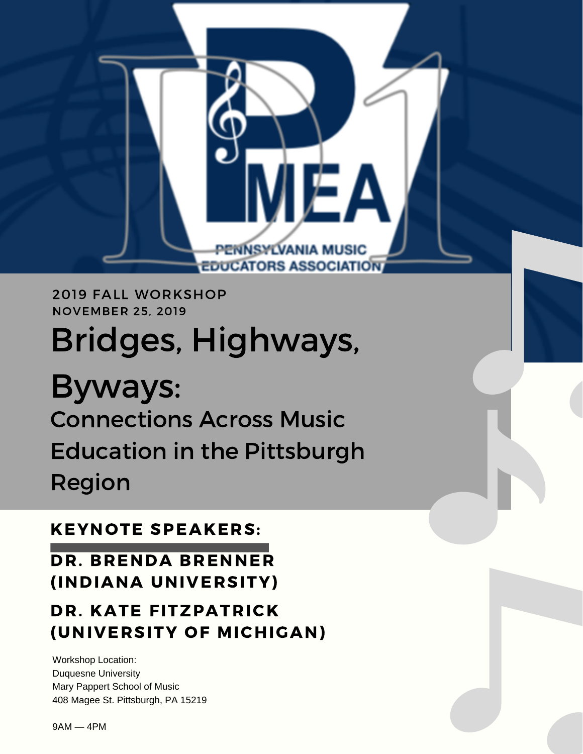

2019 FALL WORKSHOP NOVEMBER 25, 2019

# Bridges, Highways,

Byways:

Connections Across Music Education in the Pittsburgh Region

#### KEYNOTE SPEAKERS:

DR. BRENDA BRENNER (INDIANA UNIVERSITY)

#### DR. KATE FITZPATRICK (UNIVERSITY OF MICHIGAN)

Workshop Location: Duquesne University Mary Pappert School of Music 408 Magee St. Pittsburgh, PA 15219

9AM — 4PM